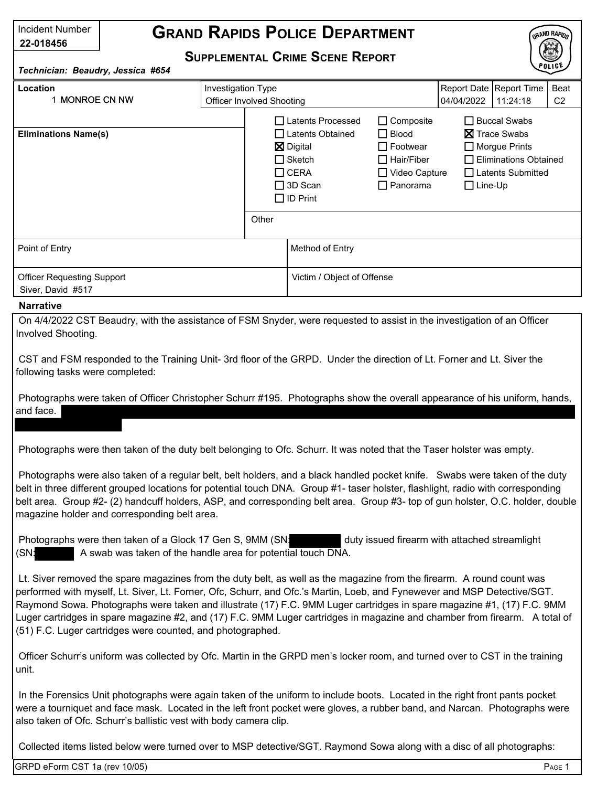| Incident Number<br>22-018456                                                          | <b>GRAND RAPIDS POLICE DEPARTMENT</b> |                                                                                                                                             |                            |                                                                                                                     |                                                                                                                                              |                                     |                        | GRAND RAPIDS |
|---------------------------------------------------------------------------------------|---------------------------------------|---------------------------------------------------------------------------------------------------------------------------------------------|----------------------------|---------------------------------------------------------------------------------------------------------------------|----------------------------------------------------------------------------------------------------------------------------------------------|-------------------------------------|------------------------|--------------|
| <b>SUPPLEMENTAL CRIME SCENE REPORT</b><br>POLICE<br>Technician: Beaudry, Jessica #654 |                                       |                                                                                                                                             |                            |                                                                                                                     |                                                                                                                                              |                                     |                        |              |
| Investigation Type<br>Location<br>1 MONROE CN NW                                      |                                       | Officer Involved Shooting                                                                                                                   |                            |                                                                                                                     | 04/04/2022                                                                                                                                   | Report Date Report Time<br>11:24:18 | Beat<br>C <sub>2</sub> |              |
| <b>Eliminations Name(s)</b>                                                           |                                       | □ Latents Processed<br>□ Latents Obtained<br><b>⊠</b> Digital<br>$\Box$ Sketch<br>$\Box$ CERA<br>$\Box$ 3D Scan<br>$\Box$ ID Print<br>Other |                            | $\Box$ Composite<br>$\Box$ Blood<br>$\Box$ Footwear<br>$\Box$ Hair/Fiber<br>$\Box$ Video Capture<br>$\Box$ Panorama | $\Box$ Buccal Swabs<br><b>X</b> Trace Swabs<br>$\Box$ Morgue Prints<br>$\Box$ Eliminations Obtained<br>□ Latents Submitted<br>$\Box$ Line-Up |                                     |                        |              |
| Point of Entry                                                                        |                                       |                                                                                                                                             | Method of Entry            |                                                                                                                     |                                                                                                                                              |                                     |                        |              |
| <b>Officer Requesting Support</b><br>Siver, David #517                                |                                       |                                                                                                                                             | Victim / Object of Offense |                                                                                                                     |                                                                                                                                              |                                     |                        |              |

## **Narrative**

On 4/4/2022 CST Beaudry, with the assistance of FSM Snyder, were requested to assist in the investigation of an Officer Involved Shooting.

CST and FSM responded to the Training Unit- 3rd floor of the GRPD. Under the direction of Lt. Forner and Lt. Siver the following tasks were completed:

Photographs were taken of Officer Christopher Schurr #195. Photographs show the overall appearance of his uniform, hands, and face.

Photographs were then taken of the duty belt belonging to Ofc. Schurr. It was noted that the Taser holster was empty.

Photographs were also taken of a regular belt, belt holders, and a black handled pocket knife. Swabs were taken of the duty belt in three different grouped locations for potential touch DNA. Group #1- taser holster, flashlight, radio with corresponding belt area. Group #2- (2) handcuff holders, ASP, and corresponding belt area. Group #3- top of gun holster, O.C. holder, double magazine holder and corresponding belt area.

Photographs were then taken of a Glock 17 Gen S, 9MM (SN: duty issued firearm with attached streamlight (SN: A swab was taken of the handle area for potential touch DNA.

Lt. Siver removed the spare magazines from the duty belt, as well as the magazine from the firearm. A round count was performed with myself, Lt. Siver, Lt. Forner, Ofc, Schurr, and Ofc.'s Martin, Loeb, and Fynewever and MSP Detective/SGT. Raymond Sowa. Photographs were taken and illustrate (17) F.C. 9MM Luger cartridges in spare magazine #1, (17) F.C. 9MM Luger cartridges in spare magazine #2, and (17) F.C. 9MM Luger cartridges in magazine and chamber from firearm. A total of (51) F.C. Luger cartridges were counted, and photographed.

Officer Schurr's uniform was collected by Ofc. Martin in the GRPD men's locker room, and turned over to CST in the training unit.

In the Forensics Unit photographs were again taken of the uniform to include boots. Located in the right front pants pocket were a tourniquet and face mask. Located in the left front pocket were gloves, a rubber band, and Narcan. Photographs were also taken of Ofc. Schurr's ballistic vest with body camera clip.

Collected items listed below were turned over to MSP detective/SGT. Raymond Sowa along with a disc of all photographs: